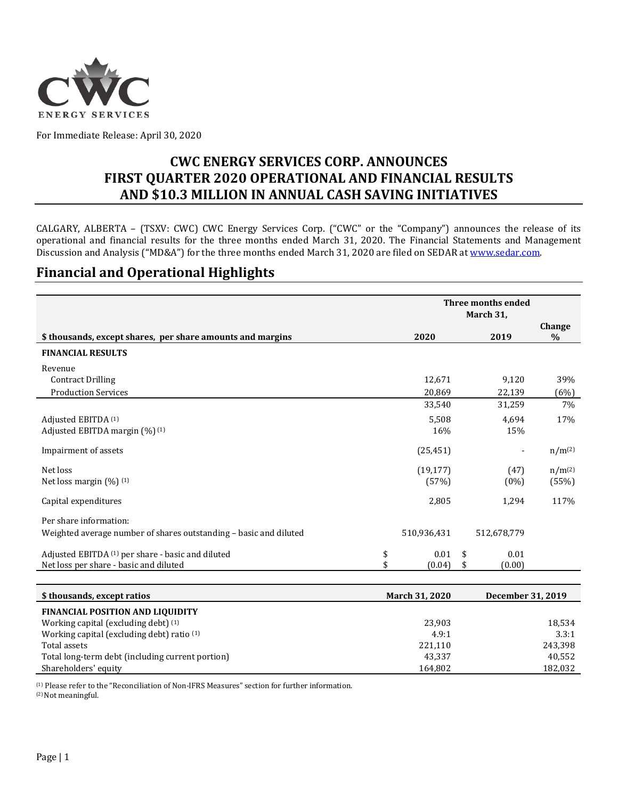

For Immediate Release: April 30, 2020

## **CWC ENERGY SERVICES CORP. ANNOUNCES FIRST QUARTER 2020 OPERATIONAL AND FINANCIAL RESULTS AND \$10.3 MILLION IN ANNUAL CASH SAVING INITIATIVES**

CALGARY, ALBERTA – (TSXV: CWC) CWC Energy Services Corp. ("CWC" or the "Company") announces the release of its operational and financial results for the three months ended March 31, 2020. The Financial Statements and Management Discussion and Analysis ("MD&A") for the three months ended March 31, 2020 are filed on SEDAR at [www.sedar.com.](http://www.sedar.com/)

### **Financial and Operational Highlights**

|                                                                   | Three months ended<br>March 31, |    |             |             |
|-------------------------------------------------------------------|---------------------------------|----|-------------|-------------|
| \$ thousands, except shares, per share amounts and margins        | 2020<br>2019                    |    |             |             |
| <b>FINANCIAL RESULTS</b>                                          |                                 |    |             |             |
| Revenue                                                           |                                 |    |             |             |
| <b>Contract Drilling</b>                                          | 12,671                          |    | 9,120       | 39%         |
| <b>Production Services</b>                                        | 20,869                          |    | 22,139      | (6%)        |
|                                                                   | 33,540                          |    | 31,259      | 7%          |
| Adjusted EBITDA (1)                                               | 5,508                           |    | 4,694       | 17%         |
| Adjusted EBITDA margin (%) (1)                                    | 16%                             |    | 15%         |             |
| Impairment of assets                                              | (25, 451)                       |    |             | $n/m^{(2)}$ |
| Net loss                                                          | (19, 177)                       |    | (47)        | $n/m^{(2)}$ |
| Net loss margin $(\%)$ (1)                                        | (57%)                           |    | $(0\%)$     | (55%)       |
| Capital expenditures                                              | 2,805                           |    | 1,294       | 117%        |
| Per share information:                                            |                                 |    |             |             |
| Weighted average number of shares outstanding - basic and diluted | 510,936,431                     |    | 512,678,779 |             |
| Adjusted EBITDA (1) per share - basic and diluted                 | \$<br>0.01                      | \$ | 0.01        |             |
| Net loss per share - basic and diluted                            | \$<br>(0.04)                    | \$ | (0.00)      |             |

| \$ thousands, except ratios                      | <b>March 31, 2020</b> | December 31, 2019 |
|--------------------------------------------------|-----------------------|-------------------|
| <b>FINANCIAL POSITION AND LIQUIDITY</b>          |                       |                   |
| Working capital (excluding debt) (1)             | 23,903                | 18,534            |
| Working capital (excluding debt) ratio (1)       | 4.9:1                 | 3.3:1             |
| Total assets                                     | 221,110               | 243,398           |
| Total long-term debt (including current portion) | 43,337                | 40,552            |
| Shareholders' equity                             | 164.802               | 182,032           |

(1) Please refer to the "Reconciliation of Non-IFRS Measures" section for further information.

(2) Not meaningful.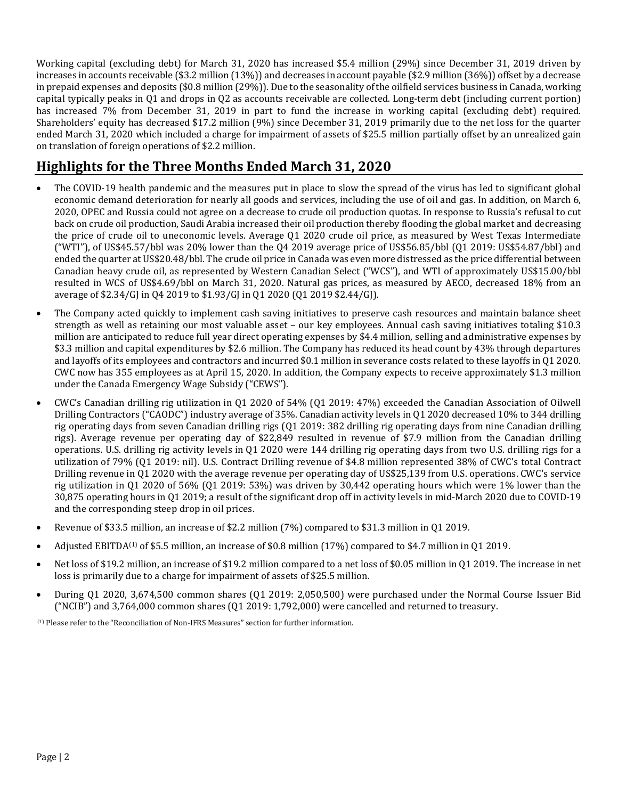Working capital (excluding debt) for March 31, 2020 has increased \$5.4 million (29%) since December 31, 2019 driven by increases in accounts receivable (\$3.2 million (13%)) and decreases in account payable (\$2.9 million (36%)) offset by a decrease in prepaid expenses and deposits (\$0.8 million (29%)). Due to the seasonality of the oilfield services business in Canada, working capital typically peaks in Q1 and drops in Q2 as accounts receivable are collected. Long-term debt (including current portion) has increased 7% from December 31, 2019 in part to fund the increase in working capital (excluding debt) required. Shareholders' equity has decreased \$17.2 million (9%) since December 31, 2019 primarily due to the net loss for the quarter ended March 31, 2020 which included a charge for impairment of assets of \$25.5 million partially offset by an unrealized gain on translation of foreign operations of \$2.2 million.

# **Highlights for the Three Months Ended March 31, 2020**

- The COVID-19 health pandemic and the measures put in place to slow the spread of the virus has led to significant global economic demand deterioration for nearly all goods and services, including the use of oil and gas. In addition, on March 6, 2020, OPEC and Russia could not agree on a decrease to crude oil production quotas. In response to Russia's refusal to cut back on crude oil production, Saudi Arabia increased their oil production thereby flooding the global market and decreasing the price of crude oil to uneconomic levels. Average Q1 2020 crude oil price, as measured by West Texas Intermediate ("WTI"), of US\$45.57/bbl was 20% lower than the Q4 2019 average price of US\$56.85/bbl (Q1 2019: US\$54.87/bbl) and ended the quarter at US\$20.48/bbl. The crude oil price in Canada was even more distressed as the price differential between Canadian heavy crude oil, as represented by Western Canadian Select ("WCS"), and WTI of approximately US\$15.00/bbl resulted in WCS of US\$4.69/bbl on March 31, 2020. Natural gas prices, as measured by AECO, decreased 18% from an average of \$2.34/GJ in Q4 2019 to \$1.93/GJ in Q1 2020 (Q1 2019 \$2.44/GJ).
- The Company acted quickly to implement cash saving initiatives to preserve cash resources and maintain balance sheet strength as well as retaining our most valuable asset – our key employees. Annual cash saving initiatives totaling \$10.3 million are anticipated to reduce full year direct operating expenses by \$4.4 million, selling and administrative expenses by \$3.3 million and capital expenditures by \$2.6 million. The Company has reduced its head count by 43% through departures and layoffs of its employees and contractors and incurred \$0.1 million in severance costs related to these layoffs in Q1 2020. CWC now has 355 employees as at April 15, 2020. In addition, the Company expects to receive approximately \$1.3 million under the Canada Emergency Wage Subsidy ("CEWS").
- CWC's Canadian drilling rig utilization in Q1 2020 of 54% (Q1 2019: 47%) exceeded the Canadian Association of Oilwell Drilling Contractors ("CAODC") industry average of 35%. Canadian activity levels in Q1 2020 decreased 10% to 344 drilling rig operating days from seven Canadian drilling rigs (Q1 2019: 382 drilling rig operating days from nine Canadian drilling rigs). Average revenue per operating day of \$22,849 resulted in revenue of \$7.9 million from the Canadian drilling operations. U.S. drilling rig activity levels in Q1 2020 were 144 drilling rig operating days from two U.S. drilling rigs for a utilization of 79% (Q1 2019: nil). U.S. Contract Drilling revenue of \$4.8 million represented 38% of CWC's total Contract Drilling revenue in Q1 2020 with the average revenue per operating day of US\$25,139 from U.S. operations. CWC's service rig utilization in Q1 2020 of 56% (Q1 2019: 53%) was driven by 30,442 operating hours which were 1% lower than the 30,875 operating hours in Q1 2019; a result of the significant drop off in activity levels in mid-March 2020 due to COVID-19 and the corresponding steep drop in oil prices.
- Revenue of \$33.5 million, an increase of \$2.2 million (7%) compared to \$31.3 million in Q1 2019.
- Adjusted EBITDA<sup>(1)</sup> of \$5.5 million, an increase of \$0.8 million (17%) compared to \$4.7 million in Q1 2019.
- Net loss of \$19.2 million, an increase of \$19.2 million compared to a net loss of \$0.05 million in Q1 2019. The increase in net loss is primarily due to a charge for impairment of assets of \$25.5 million.
- During Q1 2020, 3,674,500 common shares (Q1 2019: 2,050,500) were purchased under the Normal Course Issuer Bid ("NCIB") and 3,764,000 common shares (Q1 2019: 1,792,000) were cancelled and returned to treasury.

(1) Please refer to the "Reconciliation of Non-IFRS Measures" section for further information.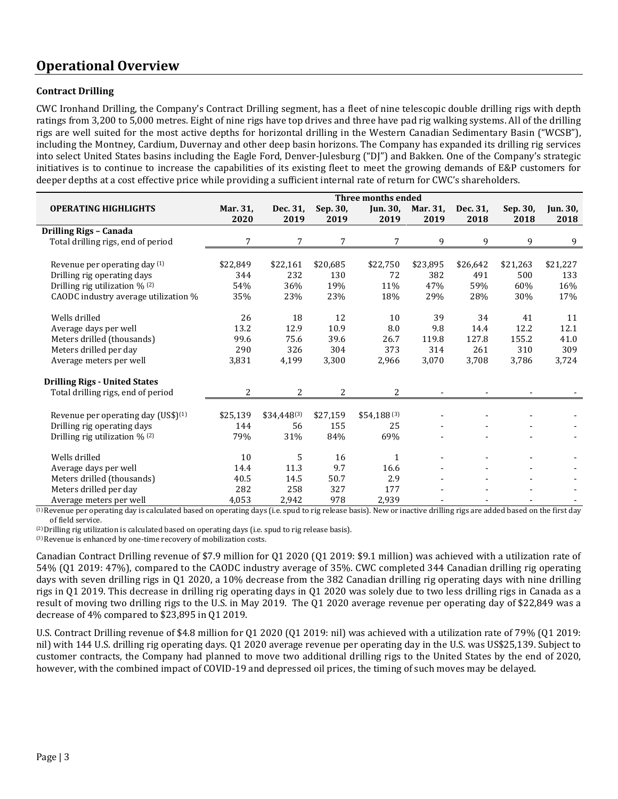## **Operational Overview**

#### **Contract Drilling**

CWC Ironhand Drilling, the Company's Contract Drilling segment, has a fleet of nine telescopic double drilling rigs with depth ratings from 3,200 to 5,000 metres. Eight of nine rigs have top drives and three have pad rig walking systems. All of the drilling rigs are well suited for the most active depths for horizontal drilling in the Western Canadian Sedimentary Basin ("WCSB"), including the Montney, Cardium, Duvernay and other deep basin horizons. The Company has expanded its drilling rig services into select United States basins including the Eagle Ford, Denver-Julesburg ("DJ") and Bakken. One of the Company's strategic initiatives is to continue to increase the capabilities of its existing fleet to meet the growing demands of E&P customers for deeper depths at a cost effective price while providing a sufficient internal rate of return for CWC's shareholders.

|                                                 | Three months ended |                 |                |                 |          |          |          |                 |
|-------------------------------------------------|--------------------|-----------------|----------------|-----------------|----------|----------|----------|-----------------|
| <b>OPERATING HIGHLIGHTS</b>                     | Mar. 31,           | Dec. 31,        | Sep. 30,       | Jun. 30,        | Mar. 31, | Dec. 31, | Sep. 30, | <b>Jun. 30,</b> |
|                                                 | 2020               | 2019            | 2019           | 2019            | 2019     | 2018     | 2018     | 2018            |
| Drilling Rigs - Canada                          |                    |                 |                |                 |          |          |          |                 |
| Total drilling rigs, end of period              | 7                  | 7               | 7              | 7               | 9        | 9        | 9        | 9               |
|                                                 |                    |                 |                |                 |          |          |          |                 |
| Revenue per operating day (1)                   | \$22,849           | \$22,161        | \$20,685       | \$22,750        | \$23,895 | \$26,642 | \$21,263 | \$21,227        |
| Drilling rig operating days                     | 344                | 232             | 130            | 72              | 382      | 491      | 500      | 133             |
| Drilling rig utilization % (2)                  | 54%                | 36%             | 19%            | 11%             | 47%      | 59%      | 60%      | 16%             |
| CAODC industry average utilization %            | 35%                | 23%             | 23%            | 18%             | 29%      | 28%      | 30%      | 17%             |
|                                                 |                    |                 |                |                 |          |          |          |                 |
| Wells drilled                                   | 26                 | 18              | 12             | 10              | 39       | 34       | 41       | 11              |
| Average days per well                           | 13.2               | 12.9            | 10.9           | 8.0             | 9.8      | 14.4     | 12.2     | 12.1            |
| Meters drilled (thousands)                      | 99.6               | 75.6            | 39.6           | 26.7            | 119.8    | 127.8    | 155.2    | 41.0            |
| Meters drilled per day                          | 290                | 326             | 304            | 373             | 314      | 261      | 310      | 309             |
| Average meters per well                         | 3,831              | 4,199           | 3,300          | 2,966           | 3,070    | 3,708    | 3,786    | 3,724           |
|                                                 |                    |                 |                |                 |          |          |          |                 |
| <b>Drilling Rigs - United States</b>            |                    |                 |                |                 |          |          |          |                 |
| Total drilling rigs, end of period              | $\overline{2}$     | $\overline{2}$  | $\overline{2}$ | 2               |          |          |          |                 |
|                                                 |                    |                 |                |                 |          |          |          |                 |
| Revenue per operating day (US\$) <sup>(1)</sup> | \$25,139           | $$34,448^{(3)}$ | \$27,159       | $$54,188^{(3)}$ |          |          |          |                 |
| Drilling rig operating days                     | 144                | 56              | 155            | 25              |          |          |          |                 |
| Drilling rig utilization % (2)                  | 79%                | 31%             | 84%            | 69%             |          |          |          |                 |
|                                                 |                    |                 |                |                 |          |          |          |                 |
| Wells drilled                                   | 10                 | 5               | 16             | $\mathbf{1}$    |          |          |          |                 |
| Average days per well                           | 14.4               | 11.3            | 9.7            | 16.6            |          |          |          |                 |
| Meters drilled (thousands)                      | 40.5               | 14.5            | 50.7           | 2.9             |          |          |          |                 |
| Meters drilled per day                          | 282                | 258             | 327            | 177             |          |          |          |                 |
| Average meters per well                         | 4,053              | 2,942           | 978            | 2,939           |          |          |          |                 |

(1) Revenue per operating day is calculated based on operating days (i.e. spud to rig release basis). New or inactive drilling rigs are added based on the first day of field service.

(2) Drilling rig utilization is calculated based on operating days (i.e. spud to rig release basis).

(3) Revenue is enhanced by one-time recovery of mobilization costs.

Canadian Contract Drilling revenue of \$7.9 million for Q1 2020 (Q1 2019: \$9.1 million) was achieved with a utilization rate of 54% (Q1 2019: 47%), compared to the CAODC industry average of 35%. CWC completed 344 Canadian drilling rig operating days with seven drilling rigs in Q1 2020, a 10% decrease from the 382 Canadian drilling rig operating days with nine drilling rigs in Q1 2019. This decrease in drilling rig operating days in Q1 2020 was solely due to two less drilling rigs in Canada as a result of moving two drilling rigs to the U.S. in May 2019. The Q1 2020 average revenue per operating day of \$22,849 was a decrease of 4% compared to \$23,895 in Q1 2019.

U.S. Contract Drilling revenue of \$4.8 million for Q1 2020 (Q1 2019: nil) was achieved with a utilization rate of 79% (Q1 2019: nil) with 144 U.S. drilling rig operating days. Q1 2020 average revenue per operating day in the U.S. was US\$25,139. Subject to customer contracts, the Company had planned to move two additional drilling rigs to the United States by the end of 2020, however, with the combined impact of COVID-19 and depressed oil prices, the timing of such moves may be delayed.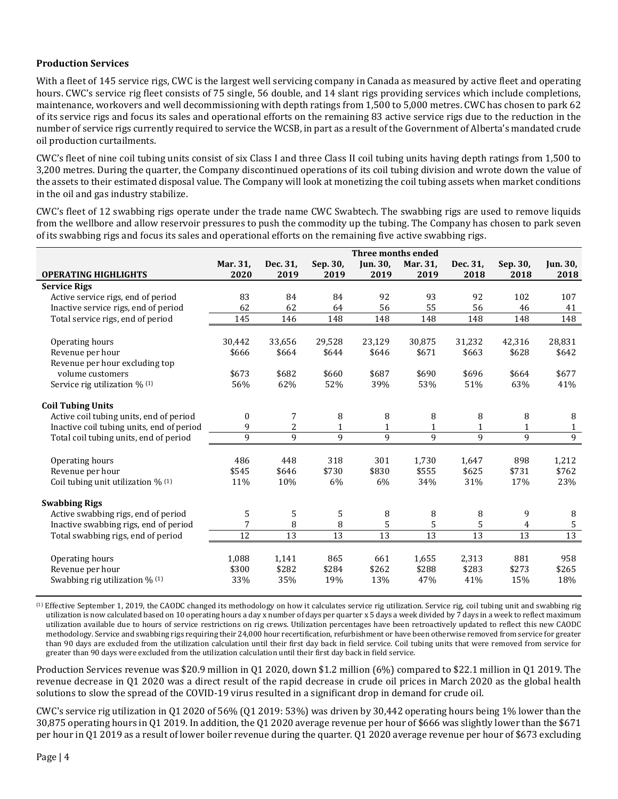#### **Production Services**

With a fleet of 145 service rigs, CWC is the largest well servicing company in Canada as measured by active fleet and operating hours. CWC's service rig fleet consists of 75 single, 56 double, and 14 slant rigs providing services which include completions, maintenance, workovers and well decommissioning with depth ratings from 1,500 to 5,000 metres. CWC has chosen to park 62 of its service rigs and focus its sales and operational efforts on the remaining 83 active service rigs due to the reduction in the number of service rigs currently required to service the WCSB, in part as a result of the Government of Alberta's mandated crude oil production curtailments.

CWC's fleet of nine coil tubing units consist of six Class I and three Class II coil tubing units having depth ratings from 1,500 to 3,200 metres. During the quarter, the Company discontinued operations of its coil tubing division and wrote down the value of the assets to their estimated disposal value. The Company will look at monetizing the coil tubing assets when market conditions in the oil and gas industry stabilize.

CWC's fleet of 12 swabbing rigs operate under the trade name CWC Swabtech. The swabbing rigs are used to remove liquids from the wellbore and allow reservoir pressures to push the commodity up the tubing. The Company has chosen to park seven of its swabbing rigs and focus its sales and operational efforts on the remaining five active swabbing rigs.

|                                                    | Three months ended |                 |                 |                 |                 |                 |                 |                 |
|----------------------------------------------------|--------------------|-----------------|-----------------|-----------------|-----------------|-----------------|-----------------|-----------------|
|                                                    | Mar. 31,           | Dec. 31,        | Sep. 30,        | <b>Jun. 30,</b> | Mar. 31,        | Dec. 31,        | Sep. 30,        | <b>Jun. 30,</b> |
| <b>OPERATING HIGHLIGHTS</b>                        | 2020               | 2019            | 2019            | 2019            | 2019            | 2018            | 2018            | 2018            |
| <b>Service Rigs</b>                                |                    |                 |                 |                 |                 |                 |                 |                 |
| Active service rigs, end of period                 | 83                 | 84              | 84              | 92              | 93              | 92              | 102             | 107             |
| Inactive service rigs, end of period               | 62                 | 62              | 64              | 56              | 55              | 56              | 46              | 41              |
| Total service rigs, end of period                  | 145                | 146             | 148             | 148             | 148             | 148             | 148             | 148             |
|                                                    |                    |                 |                 |                 |                 |                 |                 |                 |
| Operating hours                                    | 30,442             | 33,656          | 29,528          | 23,129          | 30,875          | 31,232          | 42,316          | 28,831          |
| Revenue per hour                                   | \$666              | \$664           | \$644           | \$646           | \$671           | \$663           | \$628           | \$642           |
| Revenue per hour excluding top                     |                    |                 |                 |                 |                 |                 |                 |                 |
| volume customers                                   | \$673              | \$682           | \$660           | \$687           | \$690           | \$696           | \$664           | \$677           |
| Service rig utilization % (1)                      | 56%                | 62%             | 52%             | 39%             | 53%             | 51%             | 63%             | 41%             |
| <b>Coil Tubing Units</b>                           |                    |                 |                 |                 |                 |                 |                 |                 |
| Active coil tubing units, end of period            | 0                  | 7               | 8               | 8               | 8               | 8               | 8               | 8               |
| Inactive coil tubing units, end of period          | 9                  | 2               | $\mathbf{1}$    | 1               | $\mathbf{1}$    | $\mathbf{1}$    | $\mathbf{1}$    | $\mathbf{1}$    |
| Total coil tubing units, end of period             | 9                  | 9               | 9               | 9               | 9               | 9               | 9               | $\overline{9}$  |
|                                                    | 486                | 448             | 318             | 301             | 1,730           | 1,647           | 898             |                 |
| Operating hours<br>Revenue per hour                | \$545              | \$646           | \$730           | \$830           | \$555           | \$625           | \$731           | 1,212<br>\$762  |
|                                                    |                    |                 |                 |                 |                 |                 |                 |                 |
| Coil tubing unit utilization % (1)                 | 11%                | 10%             | 6%              | 6%              | 34%             | 31%             | 17%             | 23%             |
| <b>Swabbing Rigs</b>                               |                    |                 |                 |                 |                 |                 |                 |                 |
| Active swabbing rigs, end of period                | 5                  | 5               | 5               | 8               | 8               | 8               | 9               | 8               |
| Inactive swabbing rigs, end of period              | 7                  | 8               | 8               | 5               | 5               | 5               | $\overline{4}$  | $\sqrt{5}$      |
| Total swabbing rigs, end of period                 | $\overline{12}$    | $\overline{13}$ | $\overline{13}$ | $\overline{13}$ | $\overline{13}$ | $\overline{13}$ | $\overline{13}$ | 13              |
|                                                    |                    |                 |                 |                 |                 |                 |                 |                 |
| Operating hours                                    | 1,088              | 1,141           | 865             | 661             | 1,655           | 2,313           | 881             | 958             |
| Revenue per hour<br>Swabbing rig utilization % (1) | \$300<br>33%       | \$282           | \$284<br>19%    | \$262<br>13%    | \$288<br>47%    | \$283<br>41%    | \$273<br>15%    | \$265<br>18%    |
|                                                    |                    | 35%             |                 |                 |                 |                 |                 |                 |

(1) Effective September 1, 2019, the CAODC changed its methodology on how it calculates service rig utilization. Service rig, coil tubing unit and swabbing rig utilization is now calculated based on 10 operating hours a day x number of days per quarter x 5 days a week divided by 7 days in a week to reflect maximum utilization available due to hours of service restrictions on rig crews. Utilization percentages have been retroactively updated to reflect this new CAODC methodology. Service and swabbing rigs requiring their 24,000 hour recertification, refurbishment or have been otherwise removed from service for greater than 90 days are excluded from the utilization calculation until their first day back in field service. Coil tubing units that were removed from service for greater than 90 days were excluded from the utilization calculation until their first day back in field service.

Production Services revenue was \$20.9 million in Q1 2020, down \$1.2 million (6%) compared to \$22.1 million in Q1 2019. The revenue decrease in Q1 2020 was a direct result of the rapid decrease in crude oil prices in March 2020 as the global health solutions to slow the spread of the COVID-19 virus resulted in a significant drop in demand for crude oil.

CWC's service rig utilization in Q1 2020 of 56% (Q1 2019: 53%) was driven by 30,442 operating hours being 1% lower than the 30,875 operating hours in Q1 2019. In addition, the Q1 2020 average revenue per hour of \$666 was slightly lower than the \$671 per hour in Q1 2019 as a result of lower boiler revenue during the quarter. Q1 2020 average revenue per hour of \$673 excluding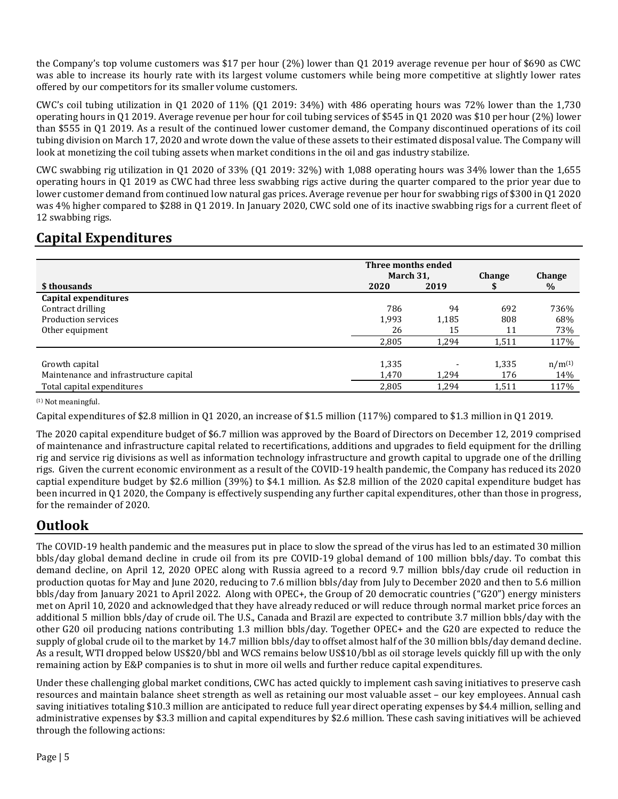the Company's top volume customers was \$17 per hour (2%) lower than Q1 2019 average revenue per hour of \$690 as CWC was able to increase its hourly rate with its largest volume customers while being more competitive at slightly lower rates offered by our competitors for its smaller volume customers.

CWC's coil tubing utilization in Q1 2020 of  $11\%$  (Q1 2019: 34%) with 486 operating hours was 72% lower than the 1,730 operating hours in Q1 2019. Average revenue per hour for coil tubing services of \$545 in Q1 2020 was \$10 per hour (2%) lower than \$555 in Q1 2019. As a result of the continued lower customer demand, the Company discontinued operations of its coil tubing division on March 17, 2020 and wrote down the value of these assets to their estimated disposal value. The Company will look at monetizing the coil tubing assets when market conditions in the oil and gas industry stabilize.

CWC swabbing rig utilization in  $01\ 2020$  of  $33\%$  (01 2019:  $32\%$ ) with 1,088 operating hours was  $34\%$  lower than the 1,655 operating hours in Q1 2019 as CWC had three less swabbing rigs active during the quarter compared to the prior year due to lower customer demand from continued low natural gas prices. Average revenue per hour for swabbing rigs of \$300 in Q1 2020 was 4% higher compared to \$288 in Q1 2019. In January 2020, CWC sold one of its inactive swabbing rigs for a current fleet of 12 swabbing rigs.

## **Capital Expenditures**

|                                        | Three months ended<br>March 31, | <b>Change</b> | <b>Change</b> |             |
|----------------------------------------|---------------------------------|---------------|---------------|-------------|
| \$ thousands                           | 2020                            | 2019          |               | $\%$        |
| Capital expenditures                   |                                 |               |               |             |
| Contract drilling                      | 786                             | 94            | 692           | 736%        |
| Production services                    | 1,993                           | 1,185         | 808           | 68%         |
| Other equipment                        | 26                              | 15            | 11            | 73%         |
|                                        | 2,805                           | 1,294         | 1,511         | 117%        |
|                                        |                                 |               |               |             |
| Growth capital                         | 1,335                           |               | 1,335         | $n/m^{(1)}$ |
| Maintenance and infrastructure capital | 1,470                           | 1.294         | 176           | 14%         |
| Total capital expenditures             | 2,805                           | 1,294         | 1,511         | 117%        |

(1) Not meaningful.

Capital expenditures of \$2.8 million in Q1 2020, an increase of \$1.5 million (117%) compared to \$1.3 million in Q1 2019.

The 2020 capital expenditure budget of \$6.7 million was approved by the Board of Directors on December 12, 2019 comprised of maintenance and infrastructure capital related to recertifications, additions and upgrades to field equipment for the drilling rig and service rig divisions as well as information technology infrastructure and growth capital to upgrade one of the drilling rigs. Given the current economic environment as a result of the COVID-19 health pandemic, the Company has reduced its 2020 captial expenditure budget by \$2.6 million (39%) to \$4.1 million. As \$2.8 million of the 2020 capital expenditure budget has been incurred in Q1 2020, the Company is effectively suspending any further capital expenditures, other than those in progress, for the remainder of 2020.

## **Outlook**

The COVID-19 health pandemic and the measures put in place to slow the spread of the virus has led to an estimated 30 million bbls/day global demand decline in crude oil from its pre COVID-19 global demand of 100 million bbls/day. To combat this demand decline, on April 12, 2020 OPEC along with Russia agreed to a record 9.7 million bbls/day crude oil reduction in production quotas for May and June 2020, reducing to 7.6 million bbls/day from July to December 2020 and then to 5.6 million bbls/day from January 2021 to April 2022. Along with OPEC+, the Group of 20 democratic countries ("G20") energy ministers met on April 10, 2020 and acknowledged that they have already reduced or will reduce through normal market price forces an additional 5 million bbls/day of crude oil. The U.S., Canada and Brazil are expected to contribute 3.7 million bbls/day with the other G20 oil producing nations contributing 1.3 million bbls/day. Together OPEC+ and the G20 are expected to reduce the supply of global crude oil to the market by 14.7 million bbls/day to offset almost half of the 30 million bbls/day demand decline. As a result, WTI dropped below US\$20/bbl and WCS remains below US\$10/bbl as oil storage levels quickly fill up with the only remaining action by E&P companies is to shut in more oil wells and further reduce capital expenditures.

Under these challenging global market conditions, CWC has acted quickly to implement cash saving initiatives to preserve cash resources and maintain balance sheet strength as well as retaining our most valuable asset – our key employees. Annual cash saving initiatives totaling \$10.3 million are anticipated to reduce full year direct operating expenses by \$4.4 million, selling and administrative expenses by \$3.3 million and capital expenditures by \$2.6 million. These cash saving initiatives will be achieved through the following actions: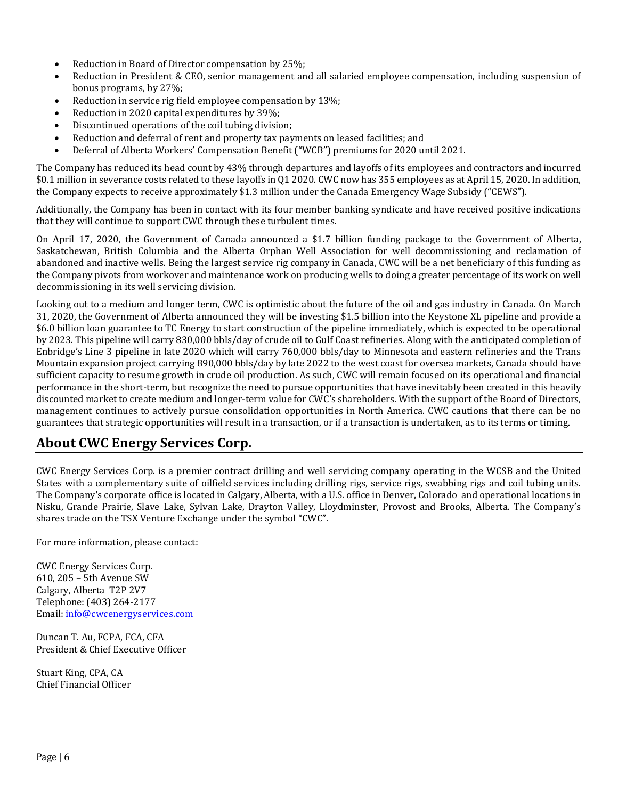- Reduction in Board of Director compensation by 25%;
- Reduction in President & CEO, senior management and all salaried employee compensation, including suspension of bonus programs, by 27%;
- Reduction in service rig field employee compensation by 13%;
- Reduction in 2020 capital expenditures by 39%;
- Discontinued operations of the coil tubing division;
- Reduction and deferral of rent and property tax payments on leased facilities; and
- Deferral of Alberta Workers' Compensation Benefit ("WCB") premiums for 2020 until 2021.

The Company has reduced its head count by 43% through departures and layoffs of its employees and contractors and incurred \$0.1 million in severance costs related to these layoffs in Q1 2020. CWC now has 355 employees as at April 15, 2020. In addition, the Company expects to receive approximately \$1.3 million under the Canada Emergency Wage Subsidy ("CEWS").

Additionally, the Company has been in contact with its four member banking syndicate and have received positive indications that they will continue to support CWC through these turbulent times.

On April 17, 2020, the Government of Canada announced a \$1.7 billion funding package to the Government of Alberta, Saskatchewan, British Columbia and the Alberta Orphan Well Association for well decommissioning and reclamation of abandoned and inactive wells. Being the largest service rig company in Canada, CWC will be a net beneficiary of this funding as the Company pivots from workover and maintenance work on producing wells to doing a greater percentage of its work on well decommissioning in its well servicing division.

Looking out to a medium and longer term, CWC is optimistic about the future of the oil and gas industry in Canada. On March 31, 2020, the Government of Alberta announced they will be investing \$1.5 billion into the Keystone XL pipeline and provide a \$6.0 billion loan guarantee to TC Energy to start construction of the pipeline immediately, which is expected to be operational by 2023. This pipeline will carry 830,000 bbls/day of crude oil to Gulf Coast refineries. Along with the anticipated completion of Enbridge's Line 3 pipeline in late 2020 which will carry 760,000 bbls/day to Minnesota and eastern refineries and the Trans Mountain expansion project carrying 890,000 bbls/day by late 2022 to the west coast for oversea markets, Canada should have sufficient capacity to resume growth in crude oil production. As such, CWC will remain focused on its operational and financial performance in the short-term, but recognize the need to pursue opportunities that have inevitably been created in this heavily discounted market to create medium and longer-term value for CWC's shareholders. With the support of the Board of Directors, management continues to actively pursue consolidation opportunities in North America. CWC cautions that there can be no guarantees that strategic opportunities will result in a transaction, or if a transaction is undertaken, as to its terms or timing.

#### **About CWC Energy Services Corp.**

CWC Energy Services Corp. is a premier contract drilling and well servicing company operating in the WCSB and the United States with a complementary suite of oilfield services including drilling rigs, service rigs, swabbing rigs and coil tubing units. The Company's corporate office is located in Calgary, Alberta, with a U.S. office in Denver, Colorado and operational locations in Nisku, Grande Prairie, Slave Lake, Sylvan Lake, Drayton Valley, Lloydminster, Provost and Brooks, Alberta. The Company's shares trade on the TSX Venture Exchange under the symbol "CWC".

For more information, please contact:

CWC Energy Services Corp. 610, 205 – 5th Avenue SW Calgary, Alberta T2P 2V7 Telephone: (403) 264-2177 Email: [info@cwcenergyservices.com](mailto:info@cwcenergyservices.com)

Duncan T. Au, FCPA, FCA, CFA President & Chief Executive Officer

Stuart King, CPA, CA Chief Financial Officer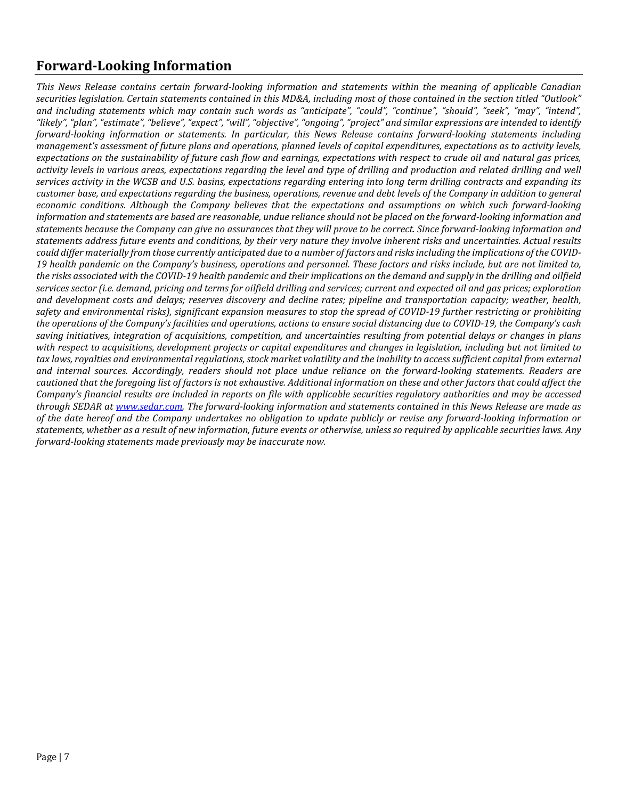# **Forward-Looking Information**

*This News Release contains certain forward-looking information and statements within the meaning of applicable Canadian securities legislation. Certain statements contained in this MD&A, including most of those contained in the section titled "Outlook" and including statements which may contain such words as "anticipate", "could", "continue", "should", "seek", "may", "intend", "likely", "plan", "estimate", "believe", "expect", "will", "objective", "ongoing", "project" and similar expressions are intended to identify forward-looking information or statements. In particular, this News Release contains forward-looking statements including management's assessment of future plans and operations, planned levels of capital expenditures, expectations as to activity levels, expectations on the sustainability of future cash flow and earnings, expectations with respect to crude oil and natural gas prices, activity levels in various areas, expectations regarding the level and type of drilling and production and related drilling and well services activity in the WCSB and U.S. basins, expectations regarding entering into long term drilling contracts and expanding its customer base, and expectations regarding the business, operations, revenue and debt levels of the Company in addition to general economic conditions. Although the Company believes that the expectations and assumptions on which such forward-looking information and statements are based are reasonable, undue reliance should not be placed on the forward-looking information and statements because the Company can give no assurances that they will prove to be correct. Since forward-looking information and statements address future events and conditions, by their very nature they involve inherent risks and uncertainties. Actual results could differ materially from those currently anticipated due to a number of factors and risksincluding the implications of the COVID-19 health pandemic on the Company's business, operations and personnel. These factors and risks include, but are not limited to, the risks associated with the COVID-19 health pandemic and their implications on the demand and supply in the drilling and oilfield services sector (i.e. demand, pricing and terms for oilfield drilling and services; current and expected oil and gas prices; exploration and development costs and delays; reserves discovery and decline rates; pipeline and transportation capacity; weather, health, safety and environmental risks), significant expansion measures to stop the spread of COVID-19 further restricting or prohibiting the operations of the Company's facilities and operations, actions to ensure social distancing due to COVID-19, the Company's cash saving initiatives, integration of acquisitions, competition, and uncertainties resulting from potential delays or changes in plans with respect to acquisitions, development projects or capital expenditures and changes in legislation, including but not limited to tax laws, royalties and environmental regulations, stock market volatility and the inability to access sufficient capital from external and internal sources. Accordingly, readers should not place undue reliance on the forward-looking statements. Readers are cautioned that the foregoing list of factors is not exhaustive. Additional information on these and other factors that could affect the Company's financial results are included in reports on file with applicable securities regulatory authorities and may be accessed through SEDAR at [www.sedar.com.](http://www.sedar.com/) The forward-looking information and statements contained in this News Release are made as of the date hereof and the Company undertakes no obligation to update publicly or revise any forward-looking information or statements, whether as a result of new information, future events or otherwise, unless so required by applicable securities laws. Any forward-looking statements made previously may be inaccurate now.*